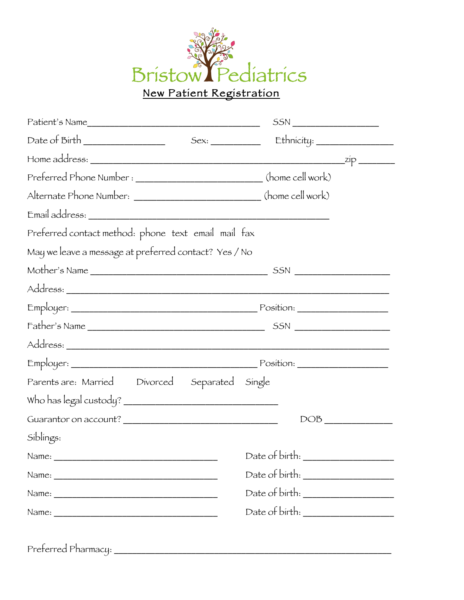

|                                                                        | $SSN$ |  |
|------------------------------------------------------------------------|-------|--|
|                                                                        |       |  |
|                                                                        |       |  |
| Preferred Phone Number : _____________________________(home cell work) |       |  |
| Alternate Phone Number: ___________________________(home cell work)    |       |  |
|                                                                        |       |  |
| Preferred contact method: phone text email mail fax                    |       |  |
| May we leave a message at preferred contact? Yes / No                  |       |  |
|                                                                        |       |  |
|                                                                        |       |  |
|                                                                        |       |  |
|                                                                        |       |  |
|                                                                        |       |  |
|                                                                        |       |  |
| Parents are: Married Divorced Separated Single                         |       |  |
|                                                                        |       |  |
|                                                                        |       |  |
| Síblíngs:                                                              |       |  |
|                                                                        |       |  |
|                                                                        |       |  |
|                                                                        |       |  |
|                                                                        |       |  |

Preferred Pharmacy: \_\_\_\_\_\_\_\_\_\_\_\_\_\_\_\_\_\_\_\_\_\_\_\_\_\_\_\_\_\_\_\_\_\_\_\_\_\_\_\_\_\_\_\_\_\_\_\_\_\_\_\_\_\_\_\_\_\_\_\_\_